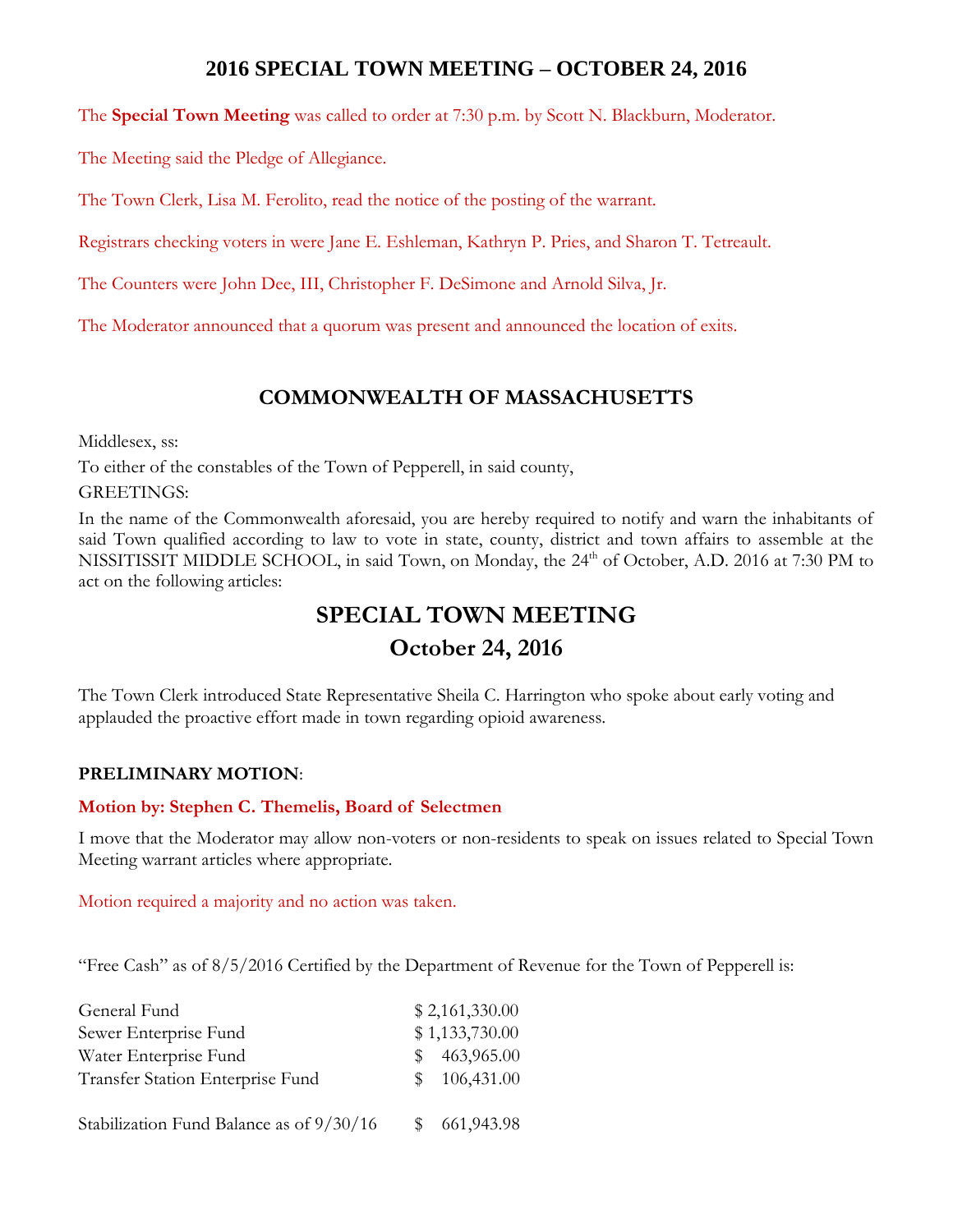# **2016 SPECIAL TOWN MEETING – OCTOBER 24, 2016**

The **Special Town Meeting** was called to order at 7:30 p.m. by Scott N. Blackburn, Moderator.

The Meeting said the Pledge of Allegiance.

The Town Clerk, Lisa M. Ferolito, read the notice of the posting of the warrant.

Registrars checking voters in were Jane E. Eshleman, Kathryn P. Pries, and Sharon T. Tetreault.

The Counters were John Dee, III, Christopher F. DeSimone and Arnold Silva, Jr.

The Moderator announced that a quorum was present and announced the location of exits.

# **COMMONWEALTH OF MASSACHUSETTS**

Middlesex, ss:

To either of the constables of the Town of Pepperell, in said county,

GREETINGS:

In the name of the Commonwealth aforesaid, you are hereby required to notify and warn the inhabitants of said Town qualified according to law to vote in state, county, district and town affairs to assemble at the NISSITISSIT MIDDLE SCHOOL, in said Town, on Monday, the 24<sup>th</sup> of October, A.D. 2016 at 7:30 PM to act on the following articles:

# **SPECIAL TOWN MEETING October 24, 2016**

The Town Clerk introduced State Representative Sheila C. Harrington who spoke about early voting and applauded the proactive effort made in town regarding opioid awareness.

# **PRELIMINARY MOTION**:

#### **Motion by: Stephen C. Themelis, Board of Selectmen**

I move that the Moderator may allow non-voters or non-residents to speak on issues related to Special Town Meeting warrant articles where appropriate.

Motion required a majority and no action was taken.

"Free Cash" as of 8/5/2016 Certified by the Department of Revenue for the Town of Pepperell is:

| General Fund                             |     | \$2,161,330.00 |
|------------------------------------------|-----|----------------|
| Sewer Enterprise Fund                    |     | \$1,133,730.00 |
| Water Enterprise Fund                    | SS. | 463,965.00     |
| Transfer Station Enterprise Fund         | SS. | 106,431.00     |
|                                          |     |                |
| Stabilization Fund Balance as of 9/30/16 |     | 661, 943. 98   |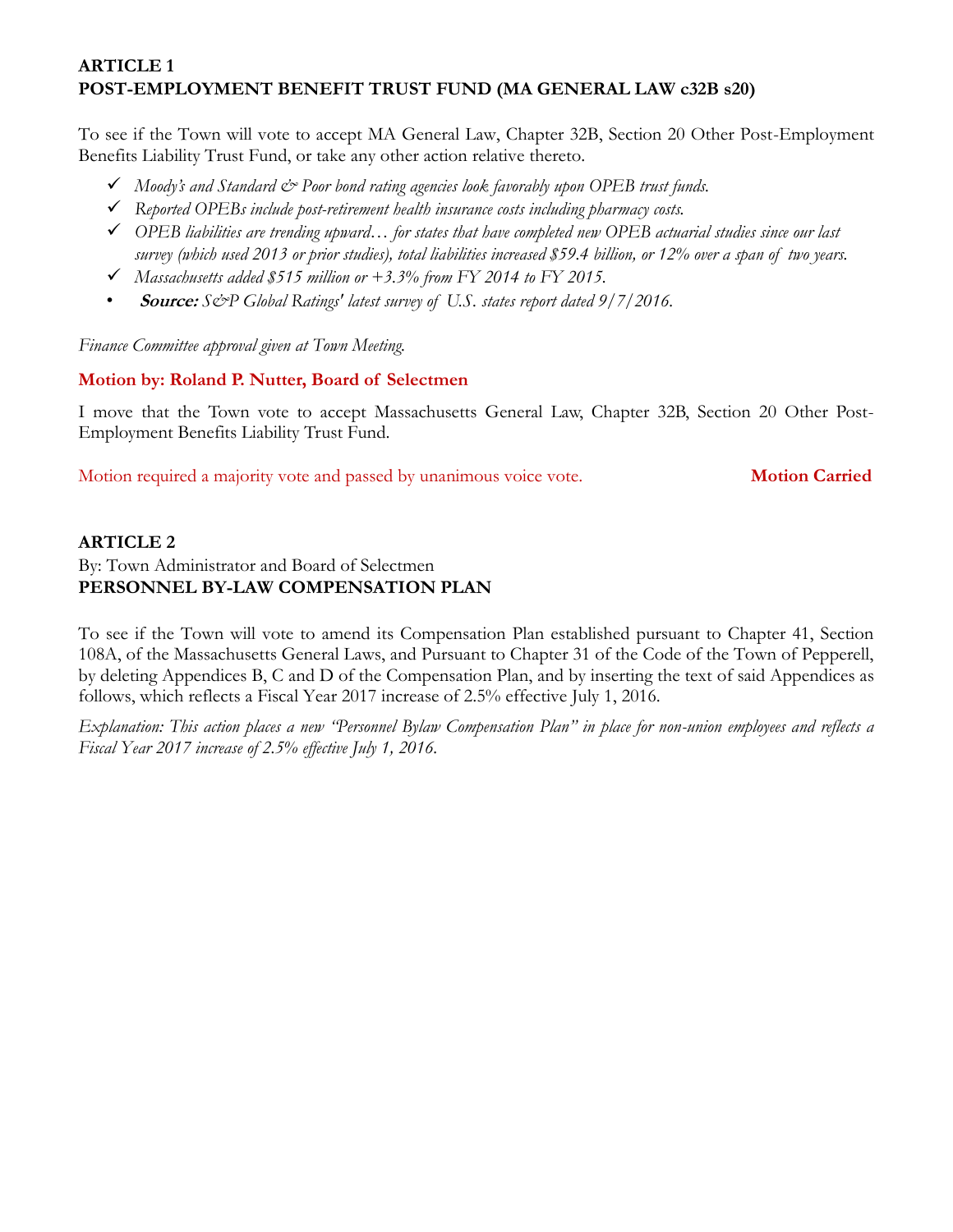# **ARTICLE 1 POST-EMPLOYMENT BENEFIT TRUST FUND (MA GENERAL LAW c32B s20)**

To see if the Town will vote to accept MA General Law, Chapter 32B, Section 20 Other Post-Employment Benefits Liability Trust Fund, or take any other action relative thereto.

- *Moody's and Standard & Poor bond rating agencies look favorably upon OPEB trust funds.*
- *Reported OPEBs include post-retirement health insurance costs including pharmacy costs.*
- *OPEB liabilities are trending upward… for states that have completed new OPEB actuarial studies since our last survey (which used 2013 or prior studies), total liabilities increased \$59.4 billion, or 12% over a span of two years.*
- *Massachusetts added \$515 million or +3.3% from FY 2014 to FY 2015.*
- **Source:** *S&P Global Ratings' latest survey of U.S. states report dated 9/7/2016.*

*Finance Committee approval given at Town Meeting.*

# **Motion by: Roland P. Nutter, Board of Selectmen**

I move that the Town vote to accept Massachusetts General Law, Chapter 32B, Section 20 Other Post-Employment Benefits Liability Trust Fund.

Motion required a majority vote and passed by unanimous voice vote. **Motion Carried**

# **ARTICLE 2**

#### By: Town Administrator and Board of Selectmen **PERSONNEL BY-LAW COMPENSATION PLAN**

To see if the Town will vote to amend its Compensation Plan established pursuant to Chapter 41, Section 108A, of the Massachusetts General Laws, and Pursuant to Chapter 31 of the Code of the Town of Pepperell, by deleting Appendices B, C and D of the Compensation Plan, and by inserting the text of said Appendices as follows, which reflects a Fiscal Year 2017 increase of 2.5% effective July 1, 2016.

*Explanation: This action places a new "Personnel Bylaw Compensation Plan" in place for non-union employees and reflects a Fiscal Year 2017 increase of 2.5% effective July 1, 2016.*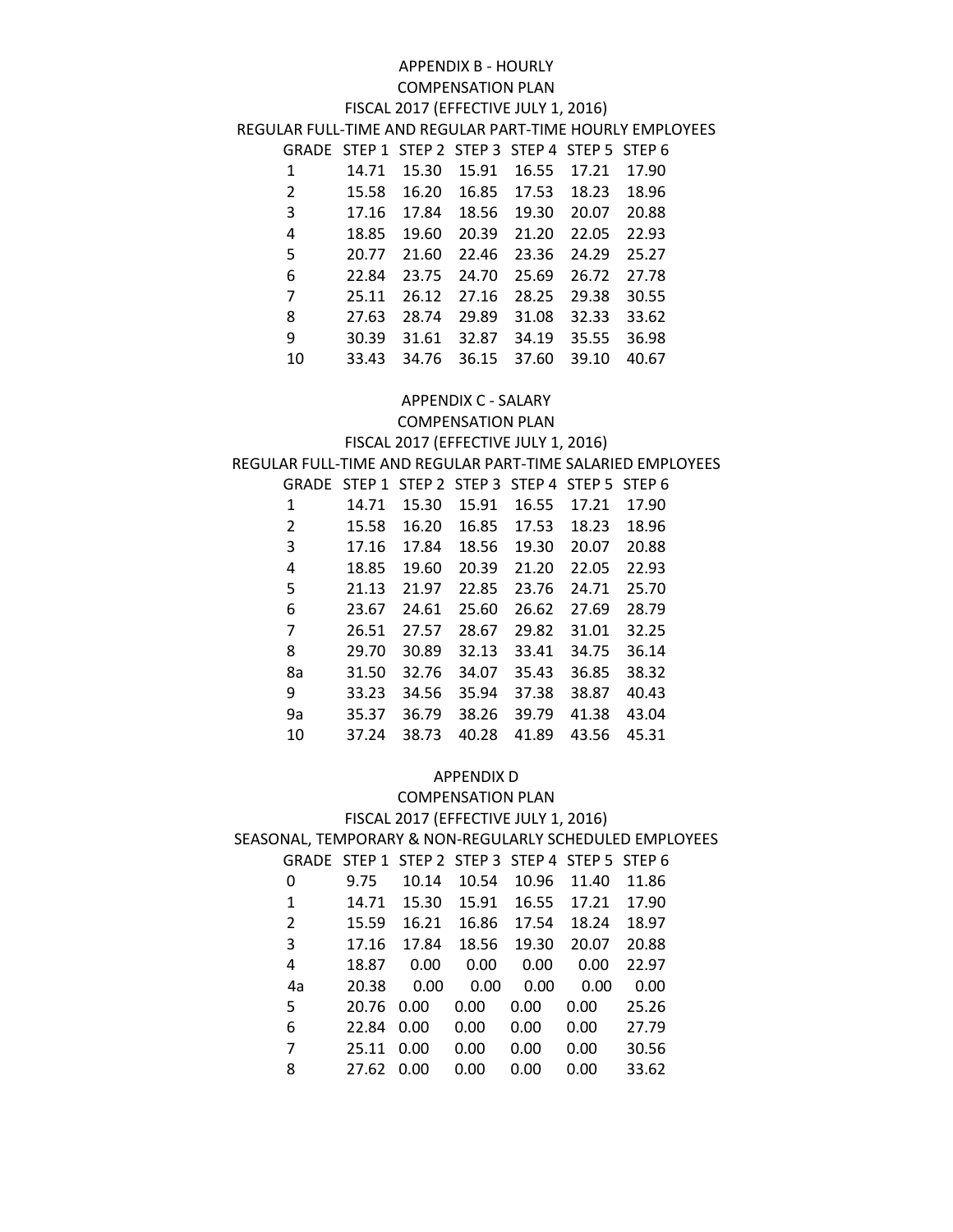#### APPENDIX B - HOURLY COMPENSATION PLAN

#### FISCAL 2017 (EFFECTIVE JULY 1, 2016)

REGULAR FULL-TIME AND REGULAR PART-TIME HOURLY EMPLOYEES

| GRADE STEP 1 STEP 2 STEP 3 STEP 4 STEP 5 STEP 6 |       |         |             |       |             |       |
|-------------------------------------------------|-------|---------|-------------|-------|-------------|-------|
| 1                                               | 14.71 | 15.30   | 15.91       | 16.55 | 17.21       | 17.90 |
| 2                                               | 15.58 |         | 16.20 16.85 |       | 17.53 18.23 | 18.96 |
| $\overline{3}$                                  | 17.16 |         | 17.84 18.56 | 19.30 | 20.07       | 20.88 |
| $\overline{4}$                                  | 18.85 | 19.60   | 20.39       | 21.20 | 22.05       | 22.93 |
| 5                                               | 20.77 | 21.60   | 22.46       | 23.36 | 24.29       | 25.27 |
| 6                                               | 22.84 |         | 23.75 24.70 | 25.69 | 26.72 27.78 |       |
| $\overline{7}$                                  | 25.11 |         | 26.12 27.16 | 28.25 | 29.38       | 30.55 |
| 8                                               | 27.63 |         | 28.74 29.89 | 31.08 | 32.33       | 33.62 |
| 9                                               | 30.39 | 31.61   | 32.87       | 34.19 | 35.55       | 36.98 |
| 10                                              | 33.43 | - 34.76 | 36.15       | 37.60 | 39.10       | 40.67 |

#### APPENDIX C - SALARY

COMPENSATION PLAN

#### FISCAL 2017 (EFFECTIVE JULY 1, 2016) REGULAR FULL-TIME AND REGULAR PART-TIME SALARIED EMPLOYEES

| GRADE | STEP <sub>1</sub> |       | STEP 2 STEP 3 | STEP <sub>4</sub> | STEP <sub>5</sub> | <b>STEP 6</b> |
|-------|-------------------|-------|---------------|-------------------|-------------------|---------------|
| 1     | 14.71             | 15.30 | 15.91         | 16.55             | 17.21             | 17.90         |
| 2     | 15.58             | 16.20 | 16.85         | 17.53             | 18.23             | 18.96         |
| 3     | 17.16             | 17.84 | 18.56         | 19.30             | 20.07             | 20.88         |
| 4     | 18.85             | 19.60 | 20.39         | 21.20             | 22.05             | 22.93         |
| 5     | 21.13             | 21.97 | 22.85         | 23.76             | 24.71             | 25.70         |
| 6     | 23.67             | 24.61 | 25.60         | 26.62             | 27.69             | 28.79         |
| 7     | 26.51             | 27.57 | 28.67         | 29.82             | 31.01             | 32.25         |
| 8     | 29.70             | 30.89 | 32.13         | 33.41             | 34.75             | 36.14         |
| 8a    | 31.50             | 32.76 | 34.07         | 35.43             | 36.85             | 38.32         |
| 9     | 33.23             | 34.56 | 35.94         | 37.38             | 38.87             | 40.43         |
| 9a    | 35.37             | 36.79 | 38.26         | 39.79             | 41.38             | 43.04         |
| 10    | 37.24             | 38.73 | 40.28         | 41.89             | 43.56             | 45.31         |

#### APPENDIX D

#### COMPENSATION PLAN FISCAL 2017 (EFFECTIVE JULY 1, 2016) SEASONAL, TEMPORARY & NON-REGULARLY SCHEDULED EMPLOYEES GRADE STEP 1 STEP 2 STEP 3 STEP 4 STEP 5 STEP 6 9.75 10.14 10.54 10.96 11.40 11.86 14.71 15.30 15.91 16.55 17.21 17.90 15.59 16.21 16.86 17.54 18.24 18.97 17.16 17.84 18.56 19.30 20.07 20.88 18.87 0.00 0.00 0.00 0.00 22.97 4a 20.38 0.00 0.00 0.00 0.00 0.00 20.76 0.00 0.00 0.00 0.00 25.26 22.84 0.00 0.00 0.00 0.00 27.79 25.11 0.00 0.00 0.00 0.00 30.56

27.62 0.00 0.00 0.00 0.00 33.62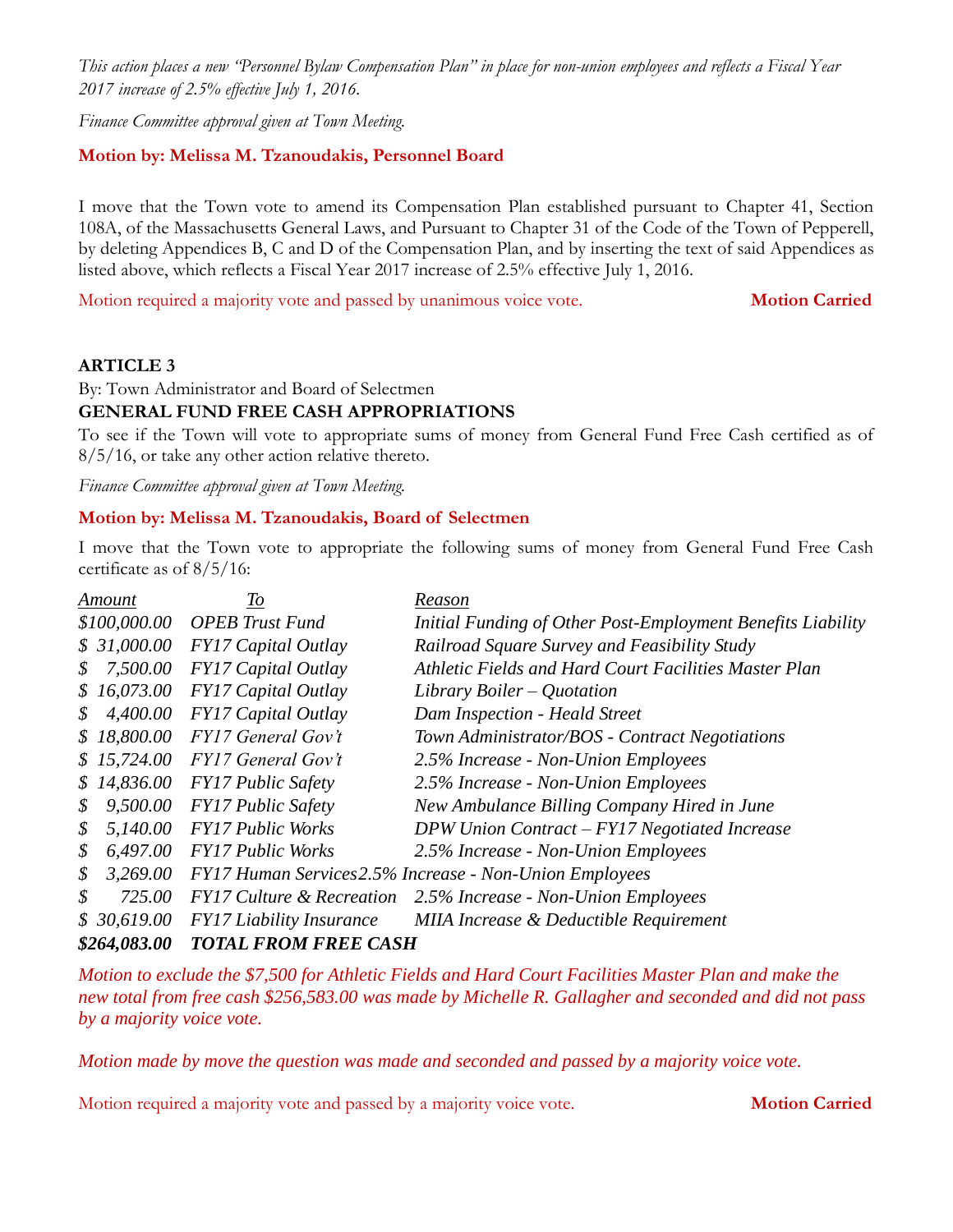*This action places a new "Personnel Bylaw Compensation Plan" in place for non-union employees and reflects a Fiscal Year 2017 increase of 2.5% effective July 1, 2016.*

*Finance Committee approval given at Town Meeting.*

#### **Motion by: Melissa M. Tzanoudakis, Personnel Board**

I move that the Town vote to amend its Compensation Plan established pursuant to Chapter 41, Section 108A, of the Massachusetts General Laws, and Pursuant to Chapter 31 of the Code of the Town of Pepperell, by deleting Appendices B, C and D of the Compensation Plan, and by inserting the text of said Appendices as listed above, which reflects a Fiscal Year 2017 increase of 2.5% effective July 1, 2016.

Motion required a majority vote and passed by unanimous voice vote. **Motion Carried**

#### **ARTICLE 3**

By: Town Administrator and Board of Selectmen

# **GENERAL FUND FREE CASH APPROPRIATIONS**

To see if the Town will vote to appropriate sums of money from General Fund Free Cash certified as of 8/5/16, or take any other action relative thereto.

*Finance Committee approval given at Town Meeting.*

#### **Motion by: Melissa M. Tzanoudakis, Board of Selectmen**

I move that the Town vote to appropriate the following sums of money from General Fund Free Cash certificate as of 8/5/16:

| Amount         | To                                   | Reason                                                      |
|----------------|--------------------------------------|-------------------------------------------------------------|
| \$100,000.00   | <b>OPEB</b> Trust Fund               | Initial Funding of Other Post-Employment Benefits Liability |
| \$31,000.00    | <b>FY17 Capital Outlay</b>           | Railroad Square Survey and Feasibility Study                |
| 7,500.00<br>\$ | FY17 Capital Outlay                  | Athletic Fields and Hard Court Facilities Master Plan       |
| \$16,073.00    | <b>FY17 Capital Outlay</b>           | Library Boiler – Quotation                                  |
| 4,400.00<br>\$ | FY17 Capital Outlay                  | Dam Inspection - Heald Street                               |
| \$18,800.00    | FY17 General Gov't                   | Town Administrator/BOS - Contract Negotiations              |
| \$15,724.00    | <b>FY17 General Gov't</b>            | 2.5% Increase - Non-Union Employees                         |
| \$14,836.00    | <b>FY17 Public Safety</b>            | 2.5% Increase - Non-Union Employees                         |
| 9,500.00<br>\$ | <b>FY17 Public Safety</b>            | New Ambulance Billing Company Hired in June                 |
| 5,140.00<br>\$ | <b>FY17 Public Works</b>             | $DPW$ Union Contract – $FY17$ Negotiated Increase           |
| 6,497.00<br>\$ | <b>FY17 Public Works</b>             | 2.5% Increase - Non-Union Employees                         |
| 3,269.00<br>\$ |                                      | FY17 Human Services 2.5% Increase - Non-Union Employees     |
| \$<br>725.00   | <b>FY17 Culture &amp; Recreation</b> | 2.5% Increase - Non-Union Employees                         |
| \$30,619.00    | <b>FY17</b> Liability Insurance      | MIIA Increase & Deductible Requirement                      |
| \$264,083.00   | <b>TOTAL FROM FREE CASH</b>          |                                                             |

*Motion to exclude the \$7,500 for Athletic Fields and Hard Court Facilities Master Plan and make the new total from free cash \$256,583.00 was made by Michelle R. Gallagher and seconded and did not pass by a majority voice vote.*

*Motion made by move the question was made and seconded and passed by a majority voice vote.*

Motion required a majority vote and passed by a majority voice vote. **Motion Carried**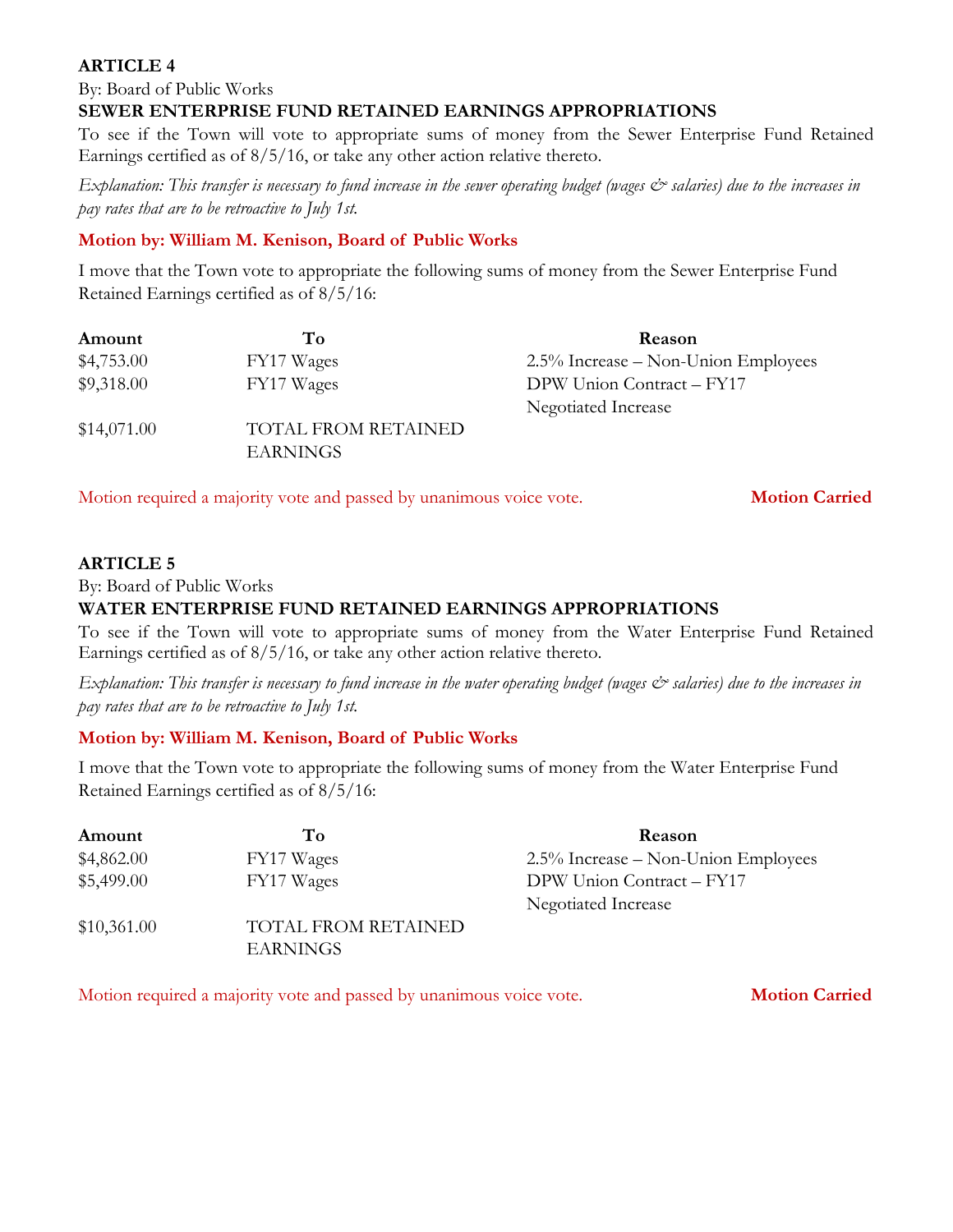By: Board of Public Works

#### **SEWER ENTERPRISE FUND RETAINED EARNINGS APPROPRIATIONS**

To see if the Town will vote to appropriate sums of money from the Sewer Enterprise Fund Retained Earnings certified as of 8/5/16, or take any other action relative thereto.

*Explanation: This transfer is necessary to fund increase in the sewer operating budget (wages & salaries) due to the increases in pay rates that are to be retroactive to July 1st.*

#### **Motion by: William M. Kenison, Board of Public Works**

I move that the Town vote to appropriate the following sums of money from the Sewer Enterprise Fund Retained Earnings certified as of 8/5/16:

| Amount      | To                         | Reason                              |
|-------------|----------------------------|-------------------------------------|
| \$4,753.00  | FY17 Wages                 | 2.5% Increase – Non-Union Employees |
| \$9,318.00  | FY17 Wages                 | DPW Union Contract - FY17           |
|             |                            | Negotiated Increase                 |
| \$14,071.00 | <b>TOTAL FROM RETAINED</b> |                                     |
|             | <b>EARNINGS</b>            |                                     |

Motion required a majority vote and passed by unanimous voice vote. **Motion Carried** 

#### **ARTICLE 5**

By: Board of Public Works

#### **WATER ENTERPRISE FUND RETAINED EARNINGS APPROPRIATIONS**

To see if the Town will vote to appropriate sums of money from the Water Enterprise Fund Retained Earnings certified as of 8/5/16, or take any other action relative thereto.

*Explanation: This transfer is necessary to fund increase in the water operating budget (wages*  $\mathcal{O}$  *salaries) due to the increases in pay rates that are to be retroactive to July 1st.* 

# **Motion by: William M. Kenison, Board of Public Works**

I move that the Town vote to appropriate the following sums of money from the Water Enterprise Fund Retained Earnings certified as of 8/5/16:

| Amount      | To                         | <b>Reason</b>                       |
|-------------|----------------------------|-------------------------------------|
| \$4,862.00  | FY17 Wages                 | 2.5% Increase – Non-Union Employees |
| \$5,499.00  | FY17 Wages                 | DPW Union Contract - FY17           |
|             |                            | Negotiated Increase                 |
| \$10,361.00 | <b>TOTAL FROM RETAINED</b> |                                     |
|             | EARNINGS                   |                                     |

Motion required a majority vote and passed by unanimous voice vote. **Motion Carried**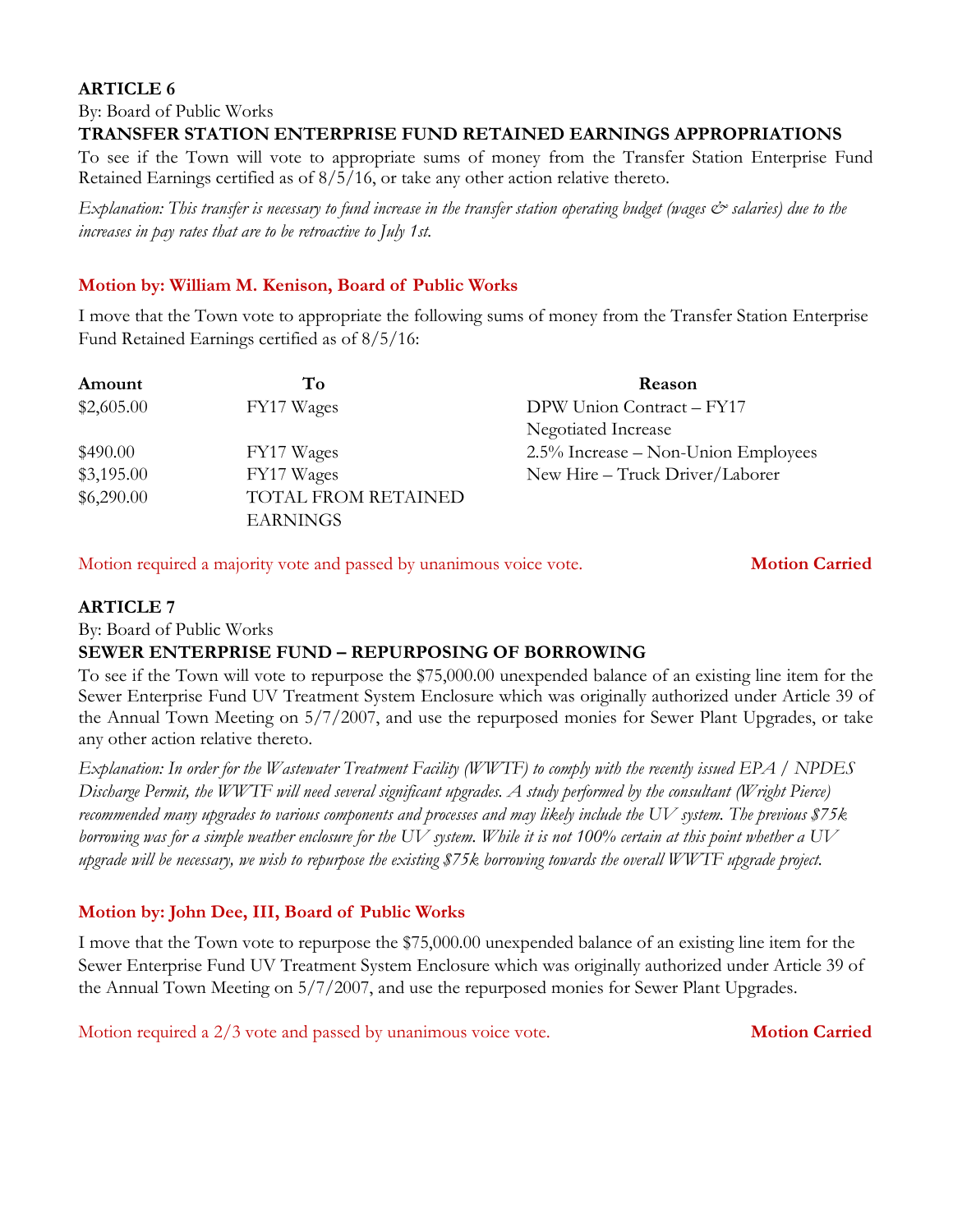By: Board of Public Works

#### **TRANSFER STATION ENTERPRISE FUND RETAINED EARNINGS APPROPRIATIONS**

To see if the Town will vote to appropriate sums of money from the Transfer Station Enterprise Fund Retained Earnings certified as of 8/5/16, or take any other action relative thereto.

*Explanation: This transfer is necessary to fund increase in the transfer station operating budget (wages & salaries) due to the increases in pay rates that are to be retroactive to July 1st.*

#### **Motion by: William M. Kenison, Board of Public Works**

I move that the Town vote to appropriate the following sums of money from the Transfer Station Enterprise Fund Retained Earnings certified as of 8/5/16:

| Amount     | To                                            | Reason                              |
|------------|-----------------------------------------------|-------------------------------------|
| \$2,605.00 | FY17 Wages                                    | DPW Union Contract - FY17           |
|            |                                               | Negotiated Increase                 |
| \$490.00   | FY17 Wages                                    | 2.5% Increase – Non-Union Employees |
| \$3,195.00 | FY17 Wages                                    | New Hire - Truck Driver/Laborer     |
| \$6,290.00 | <b>TOTAL FROM RETAINED</b><br><b>EARNINGS</b> |                                     |

Motion required a majority vote and passed by unanimous voice vote. **Motion Carried**

#### **ARTICLE 7**

By: Board of Public Works

#### **SEWER ENTERPRISE FUND – REPURPOSING OF BORROWING**

To see if the Town will vote to repurpose the \$75,000.00 unexpended balance of an existing line item for the Sewer Enterprise Fund UV Treatment System Enclosure which was originally authorized under Article 39 of the Annual Town Meeting on 5/7/2007, and use the repurposed monies for Sewer Plant Upgrades, or take any other action relative thereto.

*Explanation: In order for the Wastewater Treatment Facility (WWTF) to comply with the recently issued EPA / NPDES Discharge Permit, the WWTF will need several significant upgrades. A study performed by the consultant (Wright Pierce) recommended many upgrades to various components and processes and may likely include the UV system. The previous \$75k borrowing was for a simple weather enclosure for the UV system. While it is not 100% certain at this point whether a UV upgrade will be necessary, we wish to repurpose the existing \$75k borrowing towards the overall WWTF upgrade project.* 

# **Motion by: John Dee, III, Board of Public Works**

I move that the Town vote to repurpose the \$75,000.00 unexpended balance of an existing line item for the Sewer Enterprise Fund UV Treatment System Enclosure which was originally authorized under Article 39 of the Annual Town Meeting on 5/7/2007, and use the repurposed monies for Sewer Plant Upgrades.

Motion required a 2/3 vote and passed by unanimous voice vote. **Motion Carried**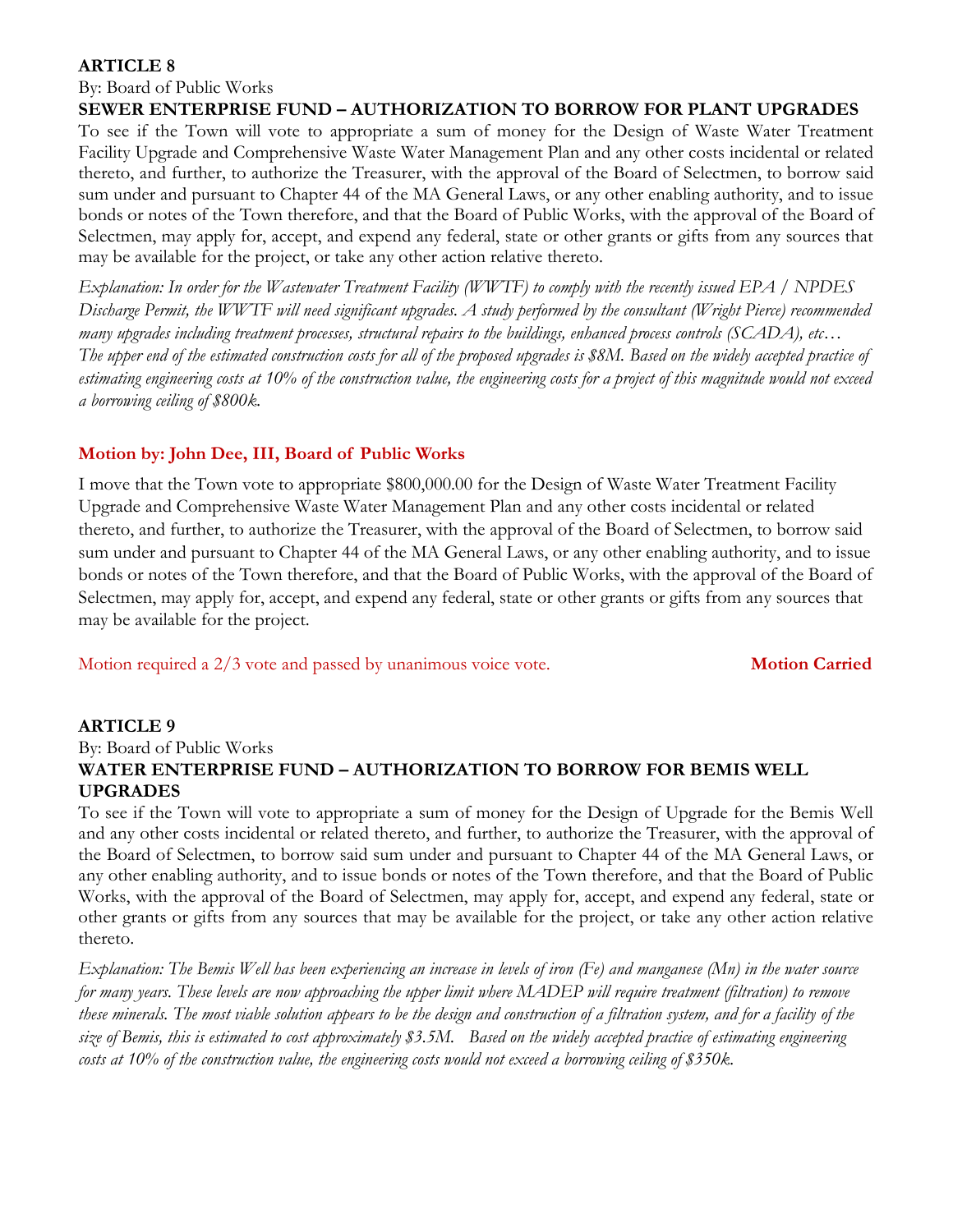By: Board of Public Works

**SEWER ENTERPRISE FUND – AUTHORIZATION TO BORROW FOR PLANT UPGRADES**

To see if the Town will vote to appropriate a sum of money for the Design of Waste Water Treatment Facility Upgrade and Comprehensive Waste Water Management Plan and any other costs incidental or related thereto, and further, to authorize the Treasurer, with the approval of the Board of Selectmen, to borrow said sum under and pursuant to Chapter 44 of the MA General Laws, or any other enabling authority, and to issue bonds or notes of the Town therefore, and that the Board of Public Works, with the approval of the Board of Selectmen, may apply for, accept, and expend any federal, state or other grants or gifts from any sources that may be available for the project, or take any other action relative thereto.

*Explanation: In order for the Wastewater Treatment Facility (WWTF) to comply with the recently issued EPA / NPDES Discharge Permit, the WWTF will need significant upgrades. A study performed by the consultant (Wright Pierce) recommended many upgrades including treatment processes, structural repairs to the buildings, enhanced process controls (SCADA), etc… The upper end of the estimated construction costs for all of the proposed upgrades is \$8M. Based on the widely accepted practice of estimating engineering costs at 10% of the construction value, the engineering costs for a project of this magnitude would not exceed a borrowing ceiling of \$800k.*

# **Motion by: John Dee, III, Board of Public Works**

I move that the Town vote to appropriate \$800,000.00 for the Design of Waste Water Treatment Facility Upgrade and Comprehensive Waste Water Management Plan and any other costs incidental or related thereto, and further, to authorize the Treasurer, with the approval of the Board of Selectmen, to borrow said sum under and pursuant to Chapter 44 of the MA General Laws, or any other enabling authority, and to issue bonds or notes of the Town therefore, and that the Board of Public Works, with the approval of the Board of Selectmen, may apply for, accept, and expend any federal, state or other grants or gifts from any sources that may be available for the project.

Motion required a 2/3 vote and passed by unanimous voice vote. **Motion Carried**

# **ARTICLE 9**

By: Board of Public Works **WATER ENTERPRISE FUND – AUTHORIZATION TO BORROW FOR BEMIS WELL UPGRADES**

To see if the Town will vote to appropriate a sum of money for the Design of Upgrade for the Bemis Well and any other costs incidental or related thereto, and further, to authorize the Treasurer, with the approval of the Board of Selectmen, to borrow said sum under and pursuant to Chapter 44 of the MA General Laws, or any other enabling authority, and to issue bonds or notes of the Town therefore, and that the Board of Public Works, with the approval of the Board of Selectmen, may apply for, accept, and expend any federal, state or other grants or gifts from any sources that may be available for the project, or take any other action relative thereto.

*Explanation: The Bemis Well has been experiencing an increase in levels of iron (Fe) and manganese (Mn) in the water source for many years. These levels are now approaching the upper limit where MADEP will require treatment (filtration) to remove these minerals. The most viable solution appears to be the design and construction of a filtration system, and for a facility of the size of Bemis, this is estimated to cost approximately \$3.5M. Based on the widely accepted practice of estimating engineering costs at 10% of the construction value, the engineering costs would not exceed a borrowing ceiling of \$350k.*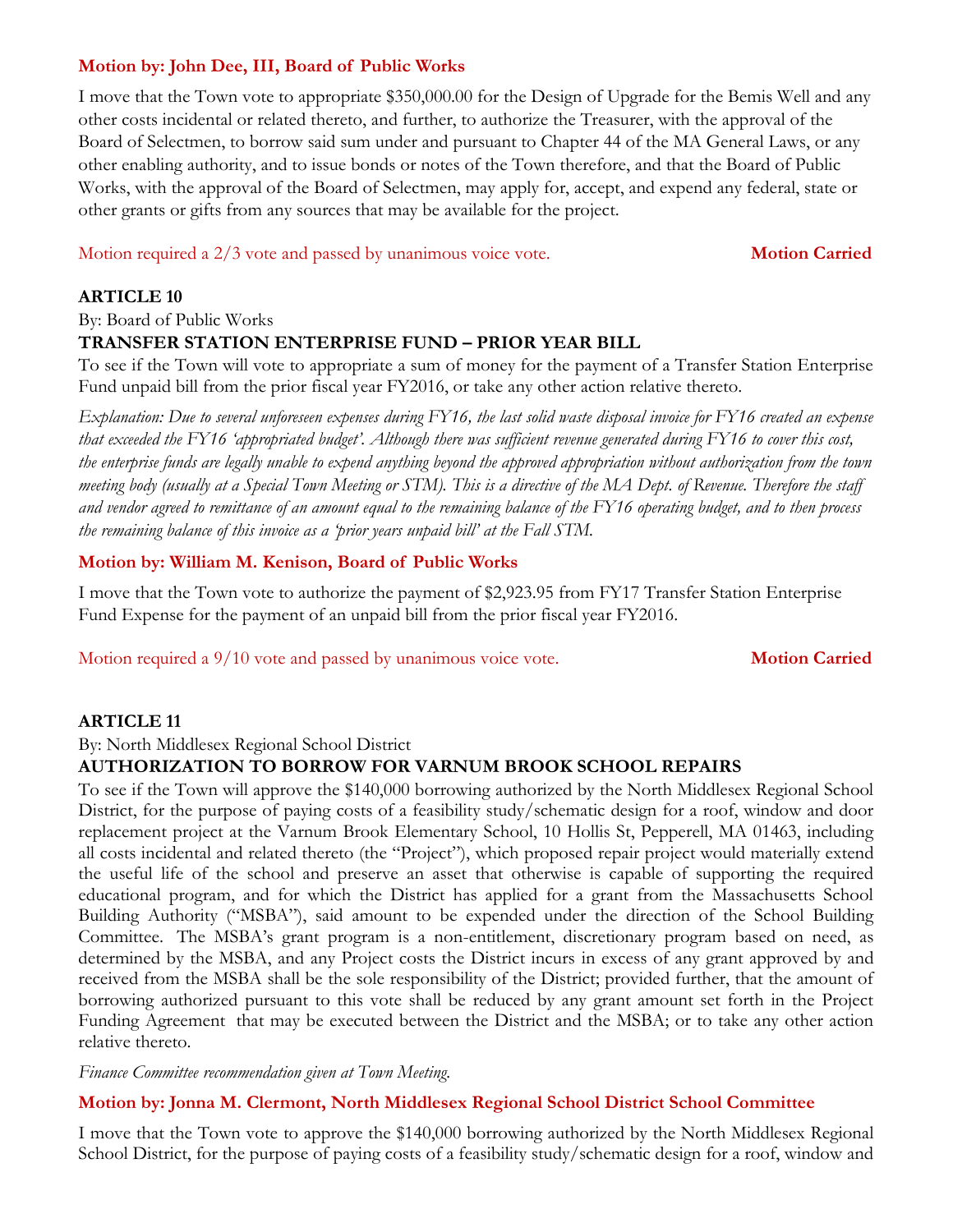# **Motion by: John Dee, III, Board of Public Works**

I move that the Town vote to appropriate \$350,000.00 for the Design of Upgrade for the Bemis Well and any other costs incidental or related thereto, and further, to authorize the Treasurer, with the approval of the Board of Selectmen, to borrow said sum under and pursuant to Chapter 44 of the MA General Laws, or any other enabling authority, and to issue bonds or notes of the Town therefore, and that the Board of Public Works, with the approval of the Board of Selectmen, may apply for, accept, and expend any federal, state or other grants or gifts from any sources that may be available for the project.

Motion required a 2/3 vote and passed by unanimous voice vote. **Motion Carried**

#### **ARTICLE 10**

By: Board of Public Works

#### **TRANSFER STATION ENTERPRISE FUND – PRIOR YEAR BILL**

To see if the Town will vote to appropriate a sum of money for the payment of a Transfer Station Enterprise Fund unpaid bill from the prior fiscal year FY2016, or take any other action relative thereto.

*Explanation: Due to several unforeseen expenses during FY16, the last solid waste disposal invoice for FY16 created an expense that exceeded the FY16 'appropriated budget'. Although there was sufficient revenue generated during FY16 to cover this cost, the enterprise funds are legally unable to expend anything beyond the approved appropriation without authorization from the town meeting body (usually at a Special Town Meeting or STM). This is a directive of the MA Dept. of Revenue. Therefore the staff and vendor agreed to remittance of an amount equal to the remaining balance of the FY16 operating budget, and to then process the remaining balance of this invoice as a 'prior years unpaid bill' at the Fall STM.*

#### **Motion by: William M. Kenison, Board of Public Works**

I move that the Town vote to authorize the payment of \$2,923.95 from FY17 Transfer Station Enterprise Fund Expense for the payment of an unpaid bill from the prior fiscal year FY2016.

Motion required a 9/10 vote and passed by unanimous voice vote. **Motion Carried** 

#### **ARTICLE 11**

By: North Middlesex Regional School District

# **AUTHORIZATION TO BORROW FOR VARNUM BROOK SCHOOL REPAIRS**

To see if the Town will approve the \$140,000 borrowing authorized by the North Middlesex Regional School District, for the purpose of paying costs of a feasibility study/schematic design for a roof, window and door replacement project at the Varnum Brook Elementary School, 10 Hollis St, Pepperell, MA 01463, including all costs incidental and related thereto (the "Project"), which proposed repair project would materially extend the useful life of the school and preserve an asset that otherwise is capable of supporting the required educational program, and for which the District has applied for a grant from the Massachusetts School Building Authority ("MSBA"), said amount to be expended under the direction of the School Building Committee. The MSBA's grant program is a non-entitlement, discretionary program based on need, as determined by the MSBA, and any Project costs the District incurs in excess of any grant approved by and received from the MSBA shall be the sole responsibility of the District; provided further, that the amount of borrowing authorized pursuant to this vote shall be reduced by any grant amount set forth in the Project Funding Agreement that may be executed between the District and the MSBA; or to take any other action relative thereto.

*Finance Committee recommendation given at Town Meeting.*

#### **Motion by: Jonna M. Clermont, North Middlesex Regional School District School Committee**

I move that the Town vote to approve the \$140,000 borrowing authorized by the North Middlesex Regional School District, for the purpose of paying costs of a feasibility study/schematic design for a roof, window and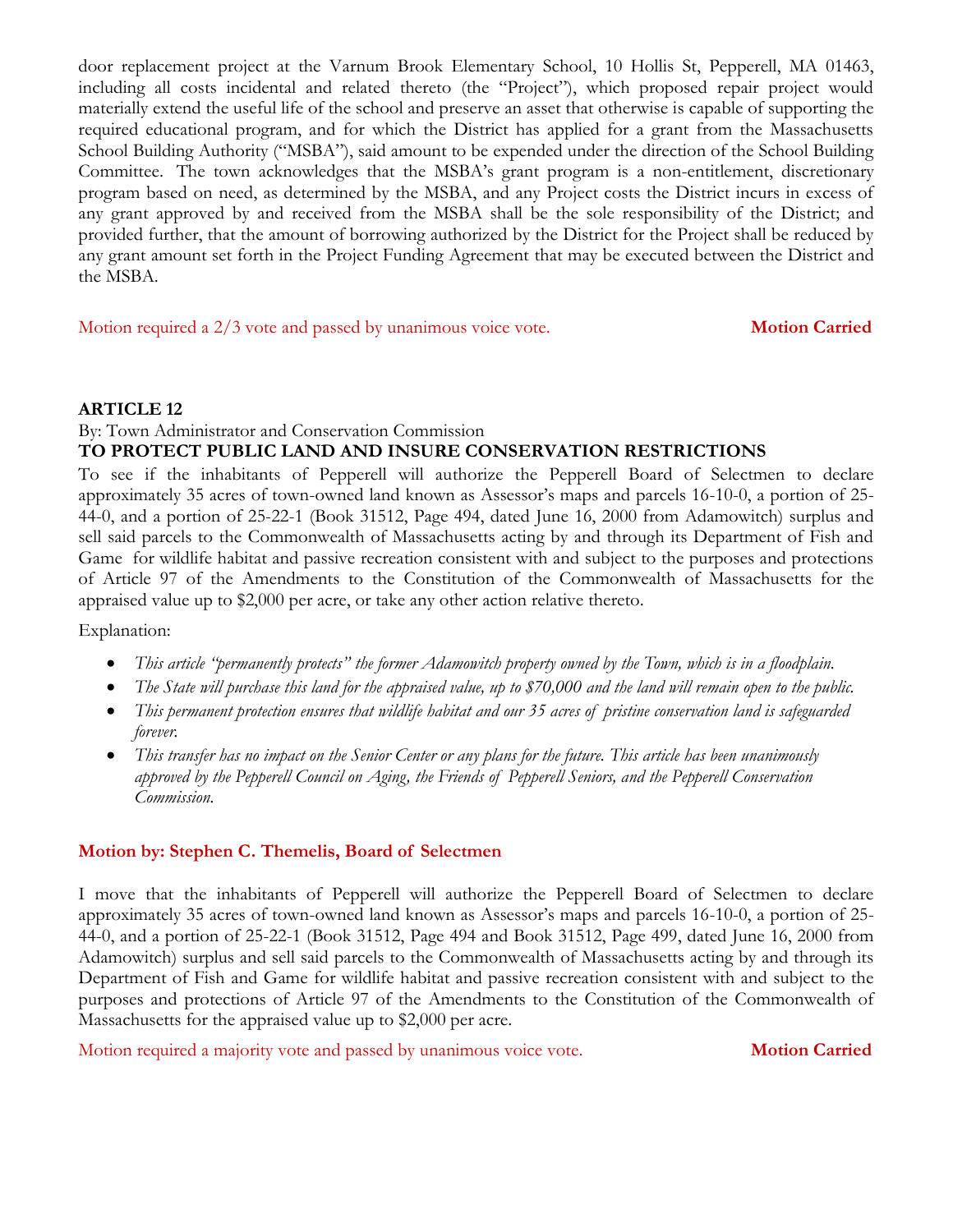door replacement project at the Varnum Brook Elementary School, 10 Hollis St, Pepperell, MA 01463, including all costs incidental and related thereto (the "Project"), which proposed repair project would materially extend the useful life of the school and preserve an asset that otherwise is capable of supporting the required educational program, and for which the District has applied for a grant from the Massachusetts School Building Authority ("MSBA"), said amount to be expended under the direction of the School Building Committee. The town acknowledges that the MSBA's grant program is a non-entitlement, discretionary program based on need, as determined by the MSBA, and any Project costs the District incurs in excess of any grant approved by and received from the MSBA shall be the sole responsibility of the District; and provided further, that the amount of borrowing authorized by the District for the Project shall be reduced by any grant amount set forth in the Project Funding Agreement that may be executed between the District and the MSBA.

Motion required a 2/3 vote and passed by unanimous voice vote. **Motion Carried** 

#### **ARTICLE 12**

#### By: Town Administrator and Conservation Commission **TO PROTECT PUBLIC LAND AND INSURE CONSERVATION RESTRICTIONS**

To see if the inhabitants of Pepperell will authorize the Pepperell Board of Selectmen to declare approximately 35 acres of town-owned land known as Assessor's maps and parcels 16-10-0, a portion of 25- 44-0, and a portion of 25-22-1 (Book 31512, Page 494, dated June 16, 2000 from Adamowitch) surplus and sell said parcels to the Commonwealth of Massachusetts acting by and through its Department of Fish and Game for wildlife habitat and passive recreation consistent with and subject to the purposes and protections of Article 97 of the Amendments to the Constitution of the Commonwealth of Massachusetts for the appraised value up to \$2,000 per acre, or take any other action relative thereto.

Explanation:

- *This article "permanently protects" the former Adamowitch property owned by the Town, which is in a floodplain.*
- *The State will purchase this land for the appraised value, up to \$70,000 and the land will remain open to the public.*
- *This permanent protection ensures that wildlife habitat and our 35 acres of pristine conservation land is safeguarded forever.*
- *This transfer has no impact on the Senior Center or any plans for the future. This article has been unanimously approved by the Pepperell Council on Aging, the Friends of Pepperell Seniors, and the Pepperell Conservation Commission.*

# **Motion by: Stephen C. Themelis, Board of Selectmen**

I move that the inhabitants of Pepperell will authorize the Pepperell Board of Selectmen to declare approximately 35 acres of town-owned land known as Assessor's maps and parcels 16-10-0, a portion of 25- 44-0, and a portion of 25-22-1 (Book 31512, Page 494 and Book 31512, Page 499, dated June 16, 2000 from Adamowitch) surplus and sell said parcels to the Commonwealth of Massachusetts acting by and through its Department of Fish and Game for wildlife habitat and passive recreation consistent with and subject to the purposes and protections of Article 97 of the Amendments to the Constitution of the Commonwealth of Massachusetts for the appraised value up to \$2,000 per acre.

Motion required a majority vote and passed by unanimous voice vote. **Motion Carried**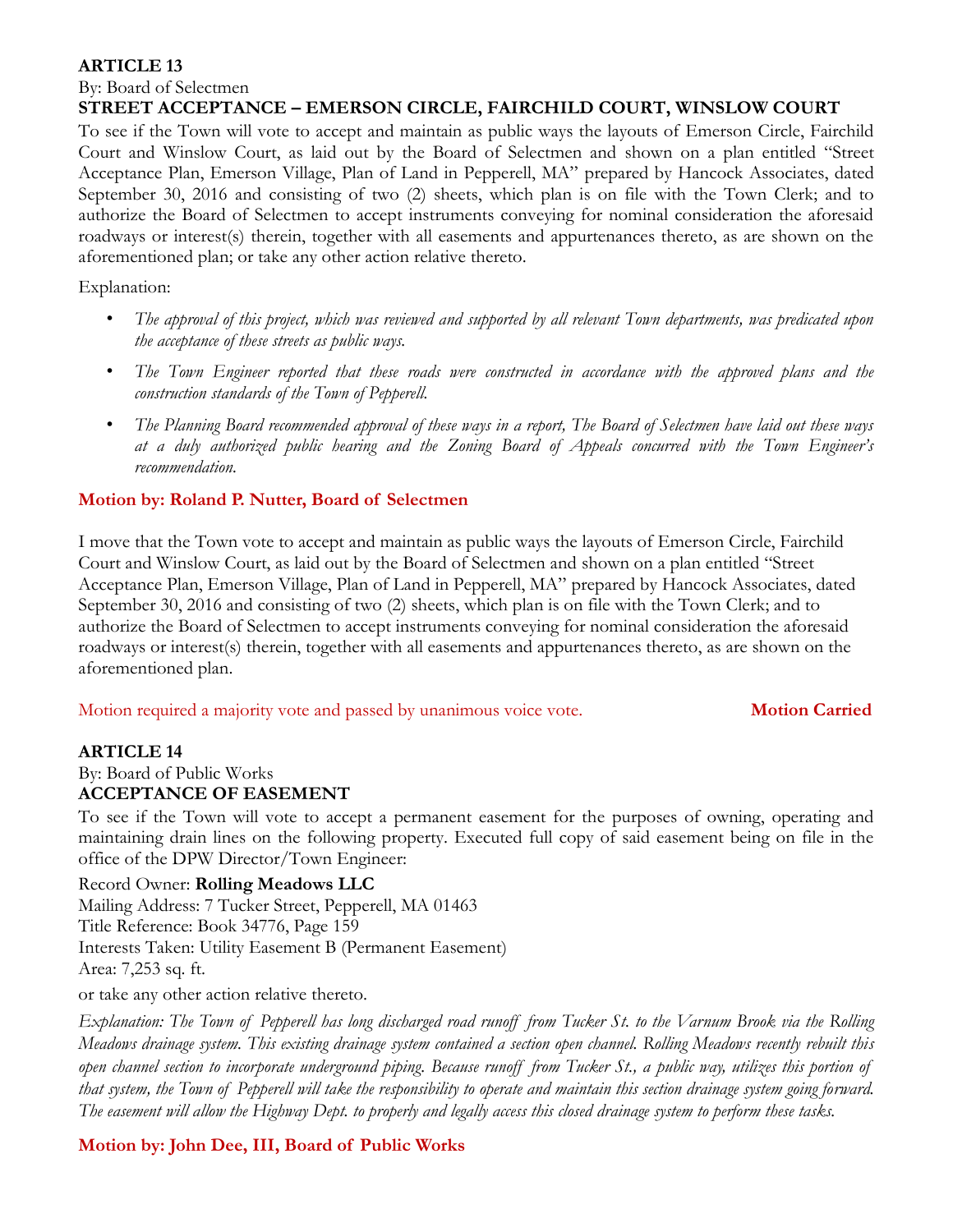By: Board of Selectmen

#### **STREET ACCEPTANCE – EMERSON CIRCLE, FAIRCHILD COURT, WINSLOW COURT**

To see if the Town will vote to accept and maintain as public ways the layouts of Emerson Circle, Fairchild Court and Winslow Court, as laid out by the Board of Selectmen and shown on a plan entitled "Street Acceptance Plan, Emerson Village, Plan of Land in Pepperell, MA" prepared by Hancock Associates, dated September 30, 2016 and consisting of two (2) sheets, which plan is on file with the Town Clerk; and to authorize the Board of Selectmen to accept instruments conveying for nominal consideration the aforesaid roadways or interest(s) therein, together with all easements and appurtenances thereto, as are shown on the aforementioned plan; or take any other action relative thereto.

Explanation:

- *The approval of this project, which was reviewed and supported by all relevant Town departments, was predicated upon the acceptance of these streets as public ways.*
- *The Town Engineer reported that these roads were constructed in accordance with the approved plans and the construction standards of the Town of Pepperell.*
- *The Planning Board recommended approval of these ways in a report, The Board of Selectmen have laid out these ways at a duly authorized public hearing and the Zoning Board of Appeals concurred with the Town Engineer's recommendation.*

# **Motion by: Roland P. Nutter, Board of Selectmen**

I move that the Town vote to accept and maintain as public ways the layouts of Emerson Circle, Fairchild Court and Winslow Court, as laid out by the Board of Selectmen and shown on a plan entitled "Street Acceptance Plan, Emerson Village, Plan of Land in Pepperell, MA" prepared by Hancock Associates, dated September 30, 2016 and consisting of two (2) sheets, which plan is on file with the Town Clerk; and to authorize the Board of Selectmen to accept instruments conveying for nominal consideration the aforesaid roadways or interest(s) therein, together with all easements and appurtenances thereto, as are shown on the aforementioned plan.

Motion required a majority vote and passed by unanimous voice vote. **Motion Carried**

# **ARTICLE 14**

#### By: Board of Public Works **ACCEPTANCE OF EASEMENT**

To see if the Town will vote to accept a permanent easement for the purposes of owning, operating and maintaining drain lines on the following property. Executed full copy of said easement being on file in the office of the DPW Director/Town Engineer:

# Record Owner: **Rolling Meadows LLC**

Mailing Address: 7 Tucker Street, Pepperell, MA 01463 Title Reference: Book 34776, Page 159 Interests Taken: Utility Easement B (Permanent Easement) Area: 7,253 sq. ft.

or take any other action relative thereto.

*Explanation: The Town of Pepperell has long discharged road runoff from Tucker St. to the Varnum Brook via the Rolling Meadows drainage system. This existing drainage system contained a section open channel. Rolling Meadows recently rebuilt this open channel section to incorporate underground piping. Because runoff from Tucker St., a public way, utilizes this portion of that system, the Town of Pepperell will take the responsibility to operate and maintain this section drainage system going forward. The easement will allow the Highway Dept. to properly and legally access this closed drainage system to perform these tasks.* 

# **Motion by: John Dee, III, Board of Public Works**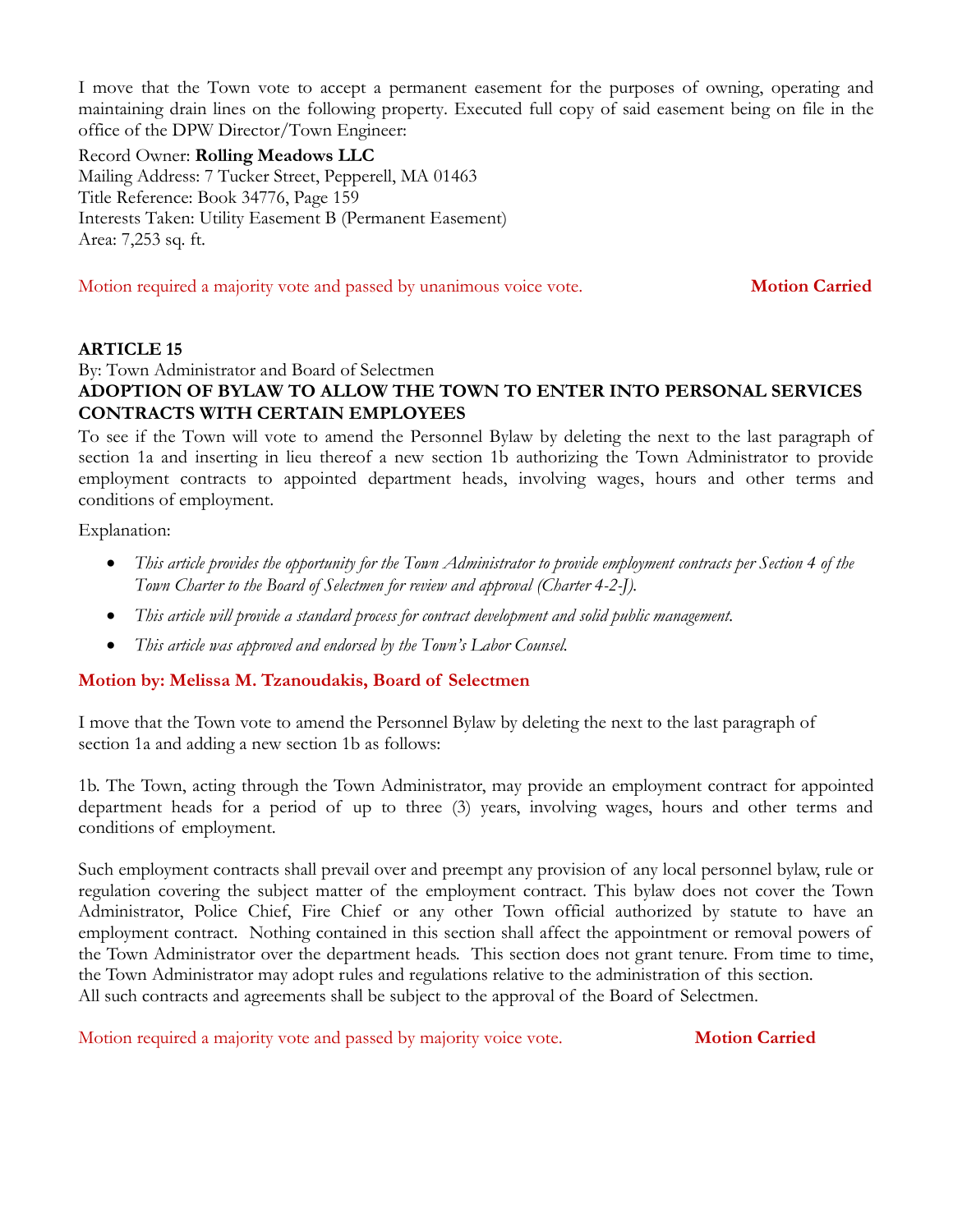I move that the Town vote to accept a permanent easement for the purposes of owning, operating and maintaining drain lines on the following property. Executed full copy of said easement being on file in the office of the DPW Director/Town Engineer:

Record Owner: **Rolling Meadows LLC** Mailing Address: 7 Tucker Street, Pepperell, MA 01463 Title Reference: Book 34776, Page 159 Interests Taken: Utility Easement B (Permanent Easement) Area: 7,253 sq. ft.

Motion required a majority vote and passed by unanimous voice vote. **Motion Carried**

#### **ARTICLE 15**

By: Town Administrator and Board of Selectmen **ADOPTION OF BYLAW TO ALLOW THE TOWN TO ENTER INTO PERSONAL SERVICES CONTRACTS WITH CERTAIN EMPLOYEES**

To see if the Town will vote to amend the Personnel Bylaw by deleting the next to the last paragraph of section 1a and inserting in lieu thereof a new section 1b authorizing the Town Administrator to provide employment contracts to appointed department heads, involving wages, hours and other terms and conditions of employment.

Explanation:

- *This article provides the opportunity for the Town Administrator to provide employment contracts per Section 4 of the Town Charter to the Board of Selectmen for review and approval (Charter 4-2-J).*
- *This article will provide a standard process for contract development and solid public management.*
- *This article was approved and endorsed by the Town's Labor Counsel.*

# **Motion by: Melissa M. Tzanoudakis, Board of Selectmen**

I move that the Town vote to amend the Personnel Bylaw by deleting the next to the last paragraph of section 1a and adding a new section 1b as follows:

1b. The Town, acting through the Town Administrator, may provide an employment contract for appointed department heads for a period of up to three (3) years, involving wages, hours and other terms and conditions of employment.

Such employment contracts shall prevail over and preempt any provision of any local personnel bylaw, rule or regulation covering the subject matter of the employment contract. This bylaw does not cover the Town Administrator, Police Chief, Fire Chief or any other Town official authorized by statute to have an employment contract. Nothing contained in this section shall affect the appointment or removal powers of the Town Administrator over the department heads. This section does not grant tenure. From time to time, the Town Administrator may adopt rules and regulations relative to the administration of this section. All such contracts and agreements shall be subject to the approval of the Board of Selectmen.

Motion required a majority vote and passed by majority voice vote. **Motion Carried**